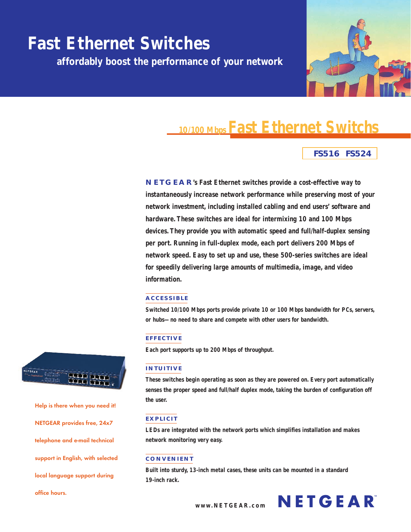

# **Fast Ethernet Switchs 10/100 Mbps**

## **FS516 FS524**

**NETGEAR 's Fast Ethernet switches provide a cost-effective way to instantaneously increase network performance while preserving most of your network investment, including installed cabling and end users' software and hardware. These switches are ideal for intermixing 10 and 100 Mbps devices. They provide you with automatic speed and full/half-duplex sensing per port. Running in full-duplex mode, each port delivers 200 Mbps of network speed. Easy to set up and use, these 500-series switches are ideal for speedily delivering large amounts of multimedia, image, and video information.**

## **ACCESSIBLE**

**Switched 10/100 Mbps ports provide private 10 or 100 Mbps bandwidth for PCs, servers, or hubs—no need to share and compete with other users for bandwidth.**

## **EFFECTIVE**

**Each port supports up to 200 Mbps of throughput.**

## **INTUITIVE**

**These switches begin operating as soon as they are powered on. Every port automatically senses the proper speed and full/half duplex mode, taking the burden of configuration off the user.**

#### **EXPLICIT**

**LEDs are integrated with the network ports which simplifies installation and makes network monitoring very easy.**

## **CONVENIENT**

**Built into sturdy, 13-inch metal cases, these units can be mounted in a standard 19-inch rack.**



**Help is there when you need it! NETGEAR provides free, 24x7 telephone and e-mail technical support in English, with selected local language support during office hours.**